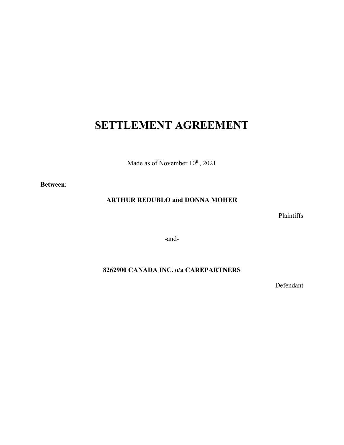# **SETTLEMENT AGREEMENT**

Made as of November  $10^{th}$ , 2021

**Between**:

## **ARTHUR REDUBLO and DONNA MOHER**

Plaintiffs

-and-

# **8262900 CANADA INC. o/a CAREPARTNERS**

Defendant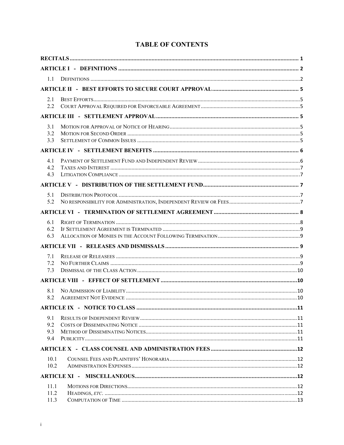|  | <b>TABLE OF CONTENTS</b> |
|--|--------------------------|
|--|--------------------------|

| 1.1          |  |    |
|--------------|--|----|
|              |  |    |
| 2.1          |  |    |
| 2.2          |  |    |
|              |  |    |
| 3.1          |  |    |
| 3.2<br>3.3   |  |    |
|              |  |    |
|              |  |    |
| 4.1<br>4.2   |  |    |
| 4.3          |  |    |
|              |  |    |
| 5.1          |  |    |
| 5.2          |  |    |
|              |  |    |
| 6.1          |  |    |
| 6.2<br>6.3   |  |    |
|              |  |    |
| 7.1          |  |    |
| 7.2          |  |    |
| 7.3          |  |    |
|              |  |    |
| 8.1          |  |    |
| 8.2          |  |    |
|              |  | 11 |
| 9.1          |  |    |
| 9.2<br>9.3   |  |    |
| 9.4          |  |    |
|              |  |    |
| 10.1         |  |    |
| 10.2         |  |    |
|              |  |    |
| 11.1         |  |    |
| 11.2<br>11.3 |  |    |
|              |  |    |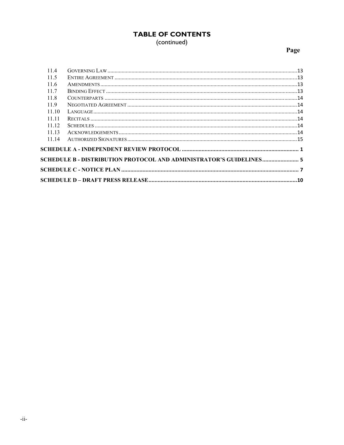# **TABLE OF CONTENTS** (continued)

# Page

| 11.4  |                                                                     |  |  |
|-------|---------------------------------------------------------------------|--|--|
| 11.5  |                                                                     |  |  |
| 11.6  |                                                                     |  |  |
| 11.7  |                                                                     |  |  |
| 11.8  |                                                                     |  |  |
| 11.9  |                                                                     |  |  |
| 11.10 |                                                                     |  |  |
| 11 11 |                                                                     |  |  |
| 11.12 |                                                                     |  |  |
| 11 13 |                                                                     |  |  |
| 11.14 |                                                                     |  |  |
|       |                                                                     |  |  |
|       | SCHEDULE B - DISTRIBUTION PROTOCOL AND ADMINISTRATOR'S GUIDELINES 5 |  |  |
|       |                                                                     |  |  |
|       |                                                                     |  |  |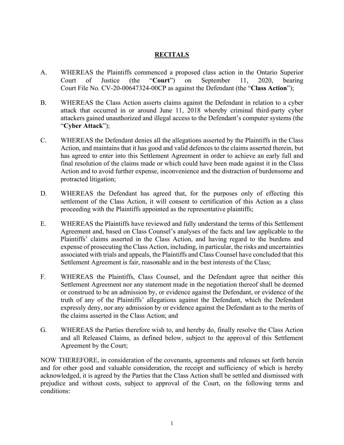## **RECITALS**

- A. WHEREAS the Plaintiffs commenced a proposed class action in the Ontario Superior Court of Justice (the "**Court**") on September 11, 2020, bearing Court File No. CV-20-00647324-00CP as against the Defendant (the "**Class Action**");
- B. WHEREAS the Class Action asserts claims against the Defendant in relation to a cyber attack that occurred in or around June 11, 2018 whereby criminal third-party cyber attackers gained unauthorized and illegal access to the Defendant's computer systems (the "**Cyber Attack**");
- C. WHEREAS the Defendant denies all the allegations asserted by the Plaintiffs in the Class Action, and maintains that it has good and valid defences to the claims asserted therein, but has agreed to enter into this Settlement Agreement in order to achieve an early full and final resolution of the claims made or which could have been made against it in the Class Action and to avoid further expense, inconvenience and the distraction of burdensome and protracted litigation;
- D. WHEREAS the Defendant has agreed that, for the purposes only of effecting this settlement of the Class Action, it will consent to certification of this Action as a class proceeding with the Plaintiffs appointed as the representative plaintiffs;
- E. WHEREAS the Plaintiffs have reviewed and fully understand the terms of this Settlement Agreement and, based on Class Counsel's analyses of the facts and law applicable to the Plaintiffs' claims asserted in the Class Action, and having regard to the burdens and expense of prosecuting the Class Action, including, in particular, the risks and uncertainties associated with trials and appeals, the Plaintiffs and Class Counsel have concluded that this Settlement Agreement is fair, reasonable and in the best interests of the Class;
- F. WHEREAS the Plaintiffs, Class Counsel, and the Defendant agree that neither this Settlement Agreement nor any statement made in the negotiation thereof shall be deemed or construed to be an admission by, or evidence against the Defendant, or evidence of the truth of any of the Plaintiffs' allegations against the Defendant, which the Defendant expressly deny, nor any admission by or evidence against the Defendant as to the merits of the claims asserted in the Class Action; and
- G. WHEREAS the Parties therefore wish to, and hereby do, finally resolve the Class Action and all Released Claims, as defined below, subject to the approval of this Settlement Agreement by the Court;

NOW THEREFORE, in consideration of the covenants, agreements and releases set forth herein and for other good and valuable consideration, the receipt and sufficiency of which is hereby acknowledged, it is agreed by the Parties that the Class Action shall be settled and dismissed with prejudice and without costs, subject to approval of the Court, on the following terms and conditions: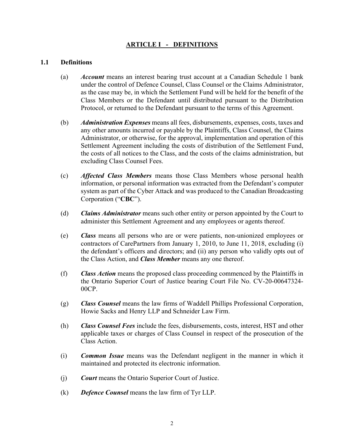## **ARTICLE I - DEFINITIONS**

#### **1.1 Definitions**

- (a) *Account* means an interest bearing trust account at a Canadian Schedule 1 bank under the control of Defence Counsel, Class Counsel or the Claims Administrator, as the case may be, in which the Settlement Fund will be held for the benefit of the Class Members or the Defendant until distributed pursuant to the Distribution Protocol, or returned to the Defendant pursuant to the terms of this Agreement.
- (b) *Administration Expenses* means all fees, disbursements, expenses, costs, taxes and any other amounts incurred or payable by the Plaintiffs, Class Counsel, the Claims Administrator, or otherwise, for the approval, implementation and operation of this Settlement Agreement including the costs of distribution of the Settlement Fund, the costs of all notices to the Class, and the costs of the claims administration, but excluding Class Counsel Fees.
- (c) *Affected Class Members* means those Class Members whose personal health information, or personal information was extracted from the Defendant's computer system as part of the Cyber Attack and was produced to the Canadian Broadcasting Corporation ("**CBC**").
- (d) *Claims Administrator* means such other entity or person appointed by the Court to administer this Settlement Agreement and any employees or agents thereof.
- (e) *Class* means all persons who are or were patients, non-unionized employees or contractors of CarePartners from January 1, 2010, to June 11, 2018, excluding (i) the defendant's officers and directors; and (ii) any person who validly opts out of the Class Action, and *Class Member* means any one thereof.
- (f) *Class Action* means the proposed class proceeding commenced by the Plaintiffs in the Ontario Superior Court of Justice bearing Court File No. CV-20-00647324- 00CP.
- (g) *Class Counsel* means the law firms of Waddell Phillips Professional Corporation, Howie Sacks and Henry LLP and Schneider Law Firm.
- (h) *Class Counsel Fees* include the fees, disbursements, costs, interest, HST and other applicable taxes or charges of Class Counsel in respect of the prosecution of the Class Action.
- (i) *Common Issue* means was the Defendant negligent in the manner in which it maintained and protected its electronic information.
- (j) *Court* means the Ontario Superior Court of Justice.
- (k) *Defence Counsel* means the law firm of Tyr LLP.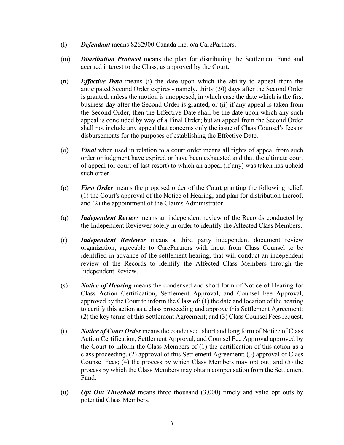- (l) *Defendant* means 8262900 Canada Inc. o/a CarePartners.
- (m) *Distribution Protocol* means the plan for distributing the Settlement Fund and accrued interest to the Class, as approved by the Court.
- (n) *Effective Date* means (i) the date upon which the ability to appeal from the anticipated Second Order expires - namely, thirty (30) days after the Second Order is granted, unless the motion is unopposed, in which case the date which is the first business day after the Second Order is granted; or (ii) if any appeal is taken from the Second Order, then the Effective Date shall be the date upon which any such appeal is concluded by way of a Final Order; but an appeal from the Second Order shall not include any appeal that concerns only the issue of Class Counsel's fees or disbursements for the purposes of establishing the Effective Date.
- (o) *Final* when used in relation to a court order means all rights of appeal from such order or judgment have expired or have been exhausted and that the ultimate court of appeal (or court of last resort) to which an appeal (if any) was taken has upheld such order.
- (p) *First Order* means the proposed order of the Court granting the following relief: (1) the Court's approval of the Notice of Hearing; and plan for distribution thereof; and (2) the appointment of the Claims Administrator.
- (q) *Independent Review* means an independent review of the Records conducted by the Independent Reviewer solely in order to identify the Affected Class Members.
- (r) *Independent Reviewer* means a third party independent document review organization, agreeable to CarePartners with input from Class Counsel to be identified in advance of the settlement hearing, that will conduct an independent review of the Records to identify the Affected Class Members through the Independent Review.
- (s) *Notice of Hearing* means the condensed and short form of Notice of Hearing for Class Action Certification, Settlement Approval, and Counsel Fee Approval, approved by the Court to inform the Class of: (1) the date and location of the hearing to certify this action as a class proceeding and approve this Settlement Agreement; (2) the key terms of this Settlement Agreement; and (3) Class Counsel Fees request.
- (t) *Notice of Court Order* means the condensed, short and long form of Notice of Class Action Certification, Settlement Approval, and Counsel Fee Approval approved by the Court to inform the Class Members of (1) the certification of this action as a class proceeding, (2) approval of this Settlement Agreement; (3) approval of Class Counsel Fees; (4) the process by which Class Members may opt out; and (5) the process by which the Class Members may obtain compensation from the Settlement Fund.
- (u) *Opt Out Threshold* means three thousand (3,000) timely and valid opt outs by potential Class Members.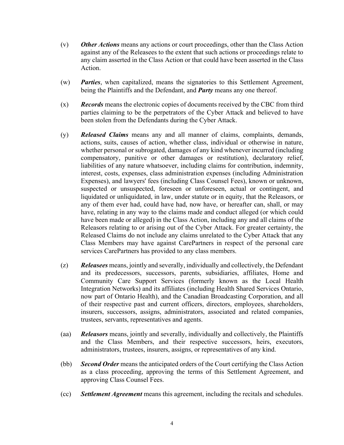- (v) *Other Actions* means any actions or court proceedings, other than the Class Action against any of the Releasees to the extent that such actions or proceedings relate to any claim asserted in the Class Action or that could have been asserted in the Class Action.
- (w) *Parties*, when capitalized, means the signatories to this Settlement Agreement, being the Plaintiffs and the Defendant, and *Party* means any one thereof.
- (x) *Records* means the electronic copies of documents received by the CBC from third parties claiming to be the perpetrators of the Cyber Attack and believed to have been stolen from the Defendants during the Cyber Attack.
- (y) *Released Claims* means any and all manner of claims, complaints, demands, actions, suits, causes of action, whether class, individual or otherwise in nature, whether personal or subrogated, damages of any kind whenever incurred (including compensatory, punitive or other damages or restitution), declaratory relief, liabilities of any nature whatsoever, including claims for contribution, indemnity, interest, costs, expenses, class administration expenses (including Administration Expenses), and lawyers' fees (including Class Counsel Fees), known or unknown, suspected or unsuspected, foreseen or unforeseen, actual or contingent, and liquidated or unliquidated, in law, under statute or in equity, that the Releasors, or any of them ever had, could have had, now have, or hereafter can, shall, or may have, relating in any way to the claims made and conduct alleged (or which could have been made or alleged) in the Class Action, including any and all claims of the Releasors relating to or arising out of the Cyber Attack. For greater certainty, the Released Claims do not include any claims unrelated to the Cyber Attack that any Class Members may have against CarePartners in respect of the personal care services CarePartners has provided to any class members.
- (z) *Releasees* means, jointly and severally, individually and collectively, the Defendant and its predecessors, successors, parents, subsidiaries, affiliates, Home and Community Care Support Services (formerly known as the Local Health Integration Networks) and its affiliates (including Health Shared Services Ontario, now part of Ontario Health), and the Canadian Broadcasting Corporation, and all of their respective past and current officers, directors, employees, shareholders, insurers, successors, assigns, administrators, associated and related companies, trustees, servants, representatives and agents.
- (aa) *Releasors* means, jointly and severally, individually and collectively, the Plaintiffs and the Class Members, and their respective successors, heirs, executors, administrators, trustees, insurers, assigns, or representatives of any kind.
- (bb) *Second Order* means the anticipated orders of the Court certifying the Class Action as a class proceeding, approving the terms of this Settlement Agreement, and approving Class Counsel Fees.
- (cc) *Settlement Agreement* means this agreement, including the recitals and schedules.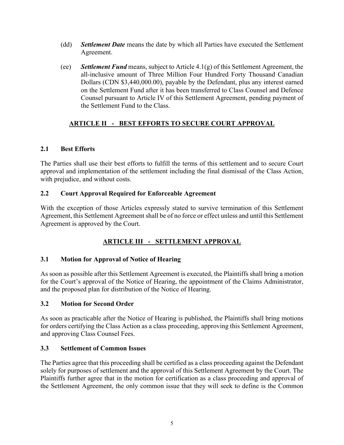- (dd) *Settlement Date* means the date by which all Parties have executed the Settlement Agreement.
- (ee) *Settlement Fund* means, subject to Article 4.1(g) of this Settlement Agreement, the all-inclusive amount of Three Million Four Hundred Forty Thousand Canadian Dollars (CDN \$3,440,000.00), payable by the Defendant, plus any interest earned on the Settlement Fund after it has been transferred to Class Counsel and Defence Counsel pursuant to Article IV of this Settlement Agreement, pending payment of the Settlement Fund to the Class.

# **ARTICLE II - BEST EFFORTS TO SECURE COURT APPROVAL**

## **2.1 Best Efforts**

The Parties shall use their best efforts to fulfill the terms of this settlement and to secure Court approval and implementation of the settlement including the final dismissal of the Class Action, with prejudice, and without costs.

## **2.2 Court Approval Required for Enforceable Agreement**

With the exception of those Articles expressly stated to survive termination of this Settlement Agreement, this Settlement Agreement shall be of no force or effect unless and until this Settlement Agreement is approved by the Court.

# **ARTICLE III - SETTLEMENT APPROVAL**

## **3.1 Motion for Approval of Notice of Hearing**

As soon as possible after this Settlement Agreement is executed, the Plaintiffs shall bring a motion for the Court's approval of the Notice of Hearing, the appointment of the Claims Administrator, and the proposed plan for distribution of the Notice of Hearing.

## **3.2 Motion for Second Order**

As soon as practicable after the Notice of Hearing is published, the Plaintiffs shall bring motions for orders certifying the Class Action as a class proceeding, approving this Settlement Agreement, and approving Class Counsel Fees.

## **3.3 Settlement of Common Issues**

The Parties agree that this proceeding shall be certified as a class proceeding against the Defendant solely for purposes of settlement and the approval of this Settlement Agreement by the Court. The Plaintiffs further agree that in the motion for certification as a class proceeding and approval of the Settlement Agreement, the only common issue that they will seek to define is the Common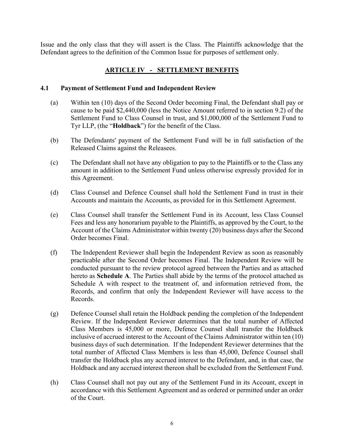Issue and the only class that they will assert is the Class. The Plaintiffs acknowledge that the Defendant agrees to the definition of the Common Issue for purposes of settlement only.

## **ARTICLE IV - SETTLEMENT BENEFITS**

#### **4.1 Payment of Settlement Fund and Independent Review**

- (a) Within ten (10) days of the Second Order becoming Final, the Defendant shall pay or cause to be paid \$2,440,000 (less the Notice Amount referred to in section 9.2) of the Settlement Fund to Class Counsel in trust, and \$1,000,000 of the Settlement Fund to Tyr LLP, (the "**Holdback**") for the benefit of the Class.
- (b) The Defendants' payment of the Settlement Fund will be in full satisfaction of the Released Claims against the Releasees.
- (c) The Defendant shall not have any obligation to pay to the Plaintiffs or to the Class any amount in addition to the Settlement Fund unless otherwise expressly provided for in this Agreement.
- (d) Class Counsel and Defence Counsel shall hold the Settlement Fund in trust in their Accounts and maintain the Accounts, as provided for in this Settlement Agreement.
- (e) Class Counsel shall transfer the Settlement Fund in its Account, less Class Counsel Fees and less any honorarium payable to the Plaintiffs, as approved by the Court, to the Account of the Claims Administrator within twenty (20) business days after the Second Order becomes Final.
- (f) The Independent Reviewer shall begin the Independent Review as soon as reasonably practicable after the Second Order becomes Final. The Independent Review will be conducted pursuant to the review protocol agreed between the Parties and as attached hereto as **Schedule A**. The Parties shall abide by the terms of the protocol attached as Schedule A with respect to the treatment of, and information retrieved from, the Records, and confirm that only the Independent Reviewer will have access to the Records.
- (g) Defence Counsel shall retain the Holdback pending the completion of the Independent Review. If the Independent Reviewer determines that the total number of Affected Class Members is 45,000 or more, Defence Counsel shall transfer the Holdback inclusive of accrued interest to the Account of the Claims Administrator within ten (10) business days of such determination. If the Independent Reviewer determines that the total number of Affected Class Members is less than 45,000, Defence Counsel shall transfer the Holdback plus any accrued interest to the Defendant, and, in that case, the Holdback and any accrued interest thereon shall be excluded from the Settlement Fund.
- (h) Class Counsel shall not pay out any of the Settlement Fund in its Account, except in accordance with this Settlement Agreement and as ordered or permitted under an order of the Court.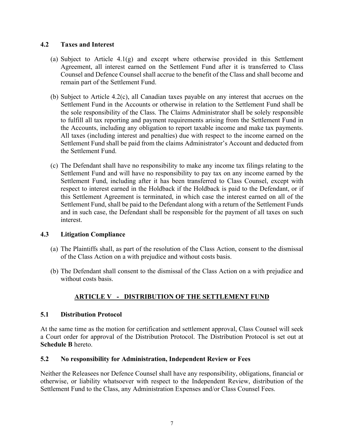#### **4.2 Taxes and Interest**

- (a) Subject to Article  $4.1(g)$  and except where otherwise provided in this Settlement Agreement, all interest earned on the Settlement Fund after it is transferred to Class Counsel and Defence Counsel shall accrue to the benefit of the Class and shall become and remain part of the Settlement Fund.
- (b) Subject to Article 4.2(c), all Canadian taxes payable on any interest that accrues on the Settlement Fund in the Accounts or otherwise in relation to the Settlement Fund shall be the sole responsibility of the Class. The Claims Administrator shall be solely responsible to fulfill all tax reporting and payment requirements arising from the Settlement Fund in the Accounts, including any obligation to report taxable income and make tax payments. All taxes (including interest and penalties) due with respect to the income earned on the Settlement Fund shall be paid from the claims Administrator's Account and deducted from the Settlement Fund.
- (c) The Defendant shall have no responsibility to make any income tax filings relating to the Settlement Fund and will have no responsibility to pay tax on any income earned by the Settlement Fund, including after it has been transferred to Class Counsel, except with respect to interest earned in the Holdback if the Holdback is paid to the Defendant, or if this Settlement Agreement is terminated, in which case the interest earned on all of the Settlement Fund, shall be paid to the Defendant along with a return of the Settlement Funds and in such case, the Defendant shall be responsible for the payment of all taxes on such interest.

## **4.3 Litigation Compliance**

- (a) The Plaintiffs shall, as part of the resolution of the Class Action, consent to the dismissal of the Class Action on a with prejudice and without costs basis.
- (b) The Defendant shall consent to the dismissal of the Class Action on a with prejudice and without costs basis.

# **ARTICLE V - DISTRIBUTION OF THE SETTLEMENT FUND**

#### **5.1 Distribution Protocol**

At the same time as the motion for certification and settlement approval, Class Counsel will seek a Court order for approval of the Distribution Protocol. The Distribution Protocol is set out at **Schedule B** hereto.

#### **5.2 No responsibility for Administration, Independent Review or Fees**

Neither the Releasees nor Defence Counsel shall have any responsibility, obligations, financial or otherwise, or liability whatsoever with respect to the Independent Review, distribution of the Settlement Fund to the Class, any Administration Expenses and/or Class Counsel Fees.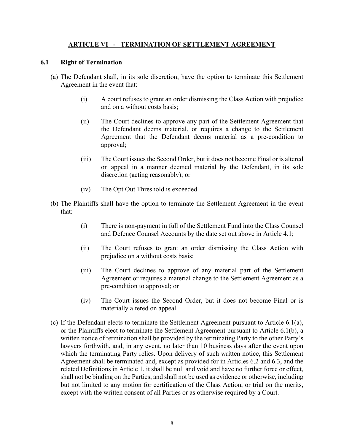## **ARTICLE VI - TERMINATION OF SETTLEMENT AGREEMENT**

#### **6.1 Right of Termination**

- (a) The Defendant shall, in its sole discretion, have the option to terminate this Settlement Agreement in the event that:
	- (i) A court refuses to grant an order dismissing the Class Action with prejudice and on a without costs basis;
	- (ii) The Court declines to approve any part of the Settlement Agreement that the Defendant deems material, or requires a change to the Settlement Agreement that the Defendant deems material as a pre-condition to approval;
	- (iii) The Court issues the Second Order, but it does not become Final or is altered on appeal in a manner deemed material by the Defendant, in its sole discretion (acting reasonably); or
	- (iv) The Opt Out Threshold is exceeded.
- (b) The Plaintiffs shall have the option to terminate the Settlement Agreement in the event that:
	- (i) There is non-payment in full of the Settlement Fund into the Class Counsel and Defence Counsel Accounts by the date set out above in Article 4.1;
	- (ii) The Court refuses to grant an order dismissing the Class Action with prejudice on a without costs basis;
	- (iii) The Court declines to approve of any material part of the Settlement Agreement or requires a material change to the Settlement Agreement as a pre-condition to approval; or
	- (iv) The Court issues the Second Order, but it does not become Final or is materially altered on appeal.
- (c) If the Defendant elects to terminate the Settlement Agreement pursuant to Article 6.1(a), or the Plaintiffs elect to terminate the Settlement Agreement pursuant to Article 6.1(b), a written notice of termination shall be provided by the terminating Party to the other Party's lawyers forthwith, and, in any event, no later than 10 business days after the event upon which the terminating Party relies. Upon delivery of such written notice, this Settlement Agreement shall be terminated and, except as provided for in Articles 6.2 and 6.3, and the related Definitions in Article 1, it shall be null and void and have no further force or effect, shall not be binding on the Parties, and shall not be used as evidence or otherwise, including but not limited to any motion for certification of the Class Action, or trial on the merits, except with the written consent of all Parties or as otherwise required by a Court.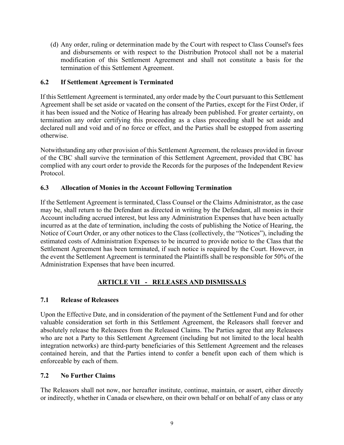(d) Any order, ruling or determination made by the Court with respect to Class Counsel's fees and disbursements or with respect to the Distribution Protocol shall not be a material modification of this Settlement Agreement and shall not constitute a basis for the termination of this Settlement Agreement.

## **6.2 If Settlement Agreement is Terminated**

If this Settlement Agreement is terminated, any order made by the Court pursuant to this Settlement Agreement shall be set aside or vacated on the consent of the Parties, except for the First Order, if it has been issued and the Notice of Hearing has already been published. For greater certainty, on termination any order certifying this proceeding as a class proceeding shall be set aside and declared null and void and of no force or effect, and the Parties shall be estopped from asserting otherwise.

Notwithstanding any other provision of this Settlement Agreement, the releases provided in favour of the CBC shall survive the termination of this Settlement Agreement, provided that CBC has complied with any court order to provide the Records for the purposes of the Independent Review Protocol.

## **6.3 Allocation of Monies in the Account Following Termination**

If the Settlement Agreement is terminated, Class Counsel or the Claims Administrator, as the case may be, shall return to the Defendant as directed in writing by the Defendant, all monies in their Account including accrued interest, but less any Administration Expenses that have been actually incurred as at the date of termination, including the costs of publishing the Notice of Hearing, the Notice of Court Order, or any other notices to the Class (collectively, the "Notices"), including the estimated costs of Administration Expenses to be incurred to provide notice to the Class that the Settlement Agreement has been terminated, if such notice is required by the Court. However, in the event the Settlement Agreement is terminated the Plaintiffs shall be responsible for 50% of the Administration Expenses that have been incurred.

# **ARTICLE VII - RELEASES AND DISMISSALS**

## **7.1 Release of Releasees**

Upon the Effective Date, and in consideration of the payment of the Settlement Fund and for other valuable consideration set forth in this Settlement Agreement, the Releasors shall forever and absolutely release the Releasees from the Released Claims. The Parties agree that any Releasees who are not a Party to this Settlement Agreement (including but not limited to the local health integration networks) are third-party beneficiaries of this Settlement Agreement and the releases contained herein, and that the Parties intend to confer a benefit upon each of them which is enforceable by each of them.

## **7.2 No Further Claims**

The Releasors shall not now, nor hereafter institute, continue, maintain, or assert, either directly or indirectly, whether in Canada or elsewhere, on their own behalf or on behalf of any class or any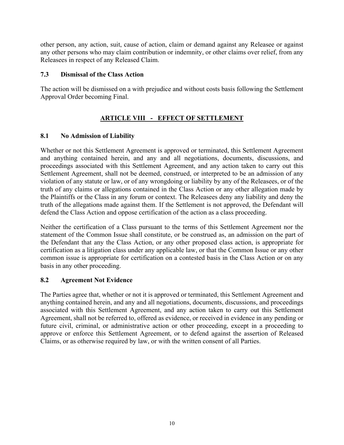other person, any action, suit, cause of action, claim or demand against any Releasee or against any other persons who may claim contribution or indemnity, or other claims over relief, from any Releasees in respect of any Released Claim.

#### **7.3 Dismissal of the Class Action**

The action will be dismissed on a with prejudice and without costs basis following the Settlement Approval Order becoming Final.

# **ARTICLE VIII - EFFECT OF SETTLEMENT**

## **8.1 No Admission of Liability**

Whether or not this Settlement Agreement is approved or terminated, this Settlement Agreement and anything contained herein, and any and all negotiations, documents, discussions, and proceedings associated with this Settlement Agreement, and any action taken to carry out this Settlement Agreement, shall not be deemed, construed, or interpreted to be an admission of any violation of any statute or law, or of any wrongdoing or liability by any of the Releasees, or of the truth of any claims or allegations contained in the Class Action or any other allegation made by the Plaintiffs or the Class in any forum or context. The Releasees deny any liability and deny the truth of the allegations made against them. If the Settlement is not approved, the Defendant will defend the Class Action and oppose certification of the action as a class proceeding.

Neither the certification of a Class pursuant to the terms of this Settlement Agreement nor the statement of the Common Issue shall constitute, or be construed as, an admission on the part of the Defendant that any the Class Action, or any other proposed class action, is appropriate for certification as a litigation class under any applicable law, or that the Common Issue or any other common issue is appropriate for certification on a contested basis in the Class Action or on any basis in any other proceeding.

## **8.2 Agreement Not Evidence**

The Parties agree that, whether or not it is approved or terminated, this Settlement Agreement and anything contained herein, and any and all negotiations, documents, discussions, and proceedings associated with this Settlement Agreement, and any action taken to carry out this Settlement Agreement, shall not be referred to, offered as evidence, or received in evidence in any pending or future civil, criminal, or administrative action or other proceeding, except in a proceeding to approve or enforce this Settlement Agreement, or to defend against the assertion of Released Claims, or as otherwise required by law, or with the written consent of all Parties.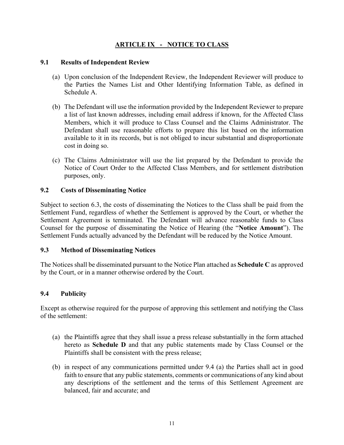# **ARTICLE IX - NOTICE TO CLASS**

#### **9.1 Results of Independent Review**

- (a) Upon conclusion of the Independent Review, the Independent Reviewer will produce to the Parties the Names List and Other Identifying Information Table, as defined in Schedule A.
- (b) The Defendant will use the information provided by the Independent Reviewer to prepare a list of last known addresses, including email address if known, for the Affected Class Members, which it will produce to Class Counsel and the Claims Administrator. The Defendant shall use reasonable efforts to prepare this list based on the information available to it in its records, but is not obliged to incur substantial and disproportionate cost in doing so.
- (c) The Claims Administrator will use the list prepared by the Defendant to provide the Notice of Court Order to the Affected Class Members, and for settlement distribution purposes, only.

## **9.2 Costs of Disseminating Notice**

Subject to section 6.3, the costs of disseminating the Notices to the Class shall be paid from the Settlement Fund, regardless of whether the Settlement is approved by the Court, or whether the Settlement Agreement is terminated. The Defendant will advance reasonable funds to Class Counsel for the purpose of disseminating the Notice of Hearing (the "**Notice Amount**"). The Settlement Funds actually advanced by the Defendant will be reduced by the Notice Amount.

## **9.3 Method of Disseminating Notices**

The Notices shall be disseminated pursuant to the Notice Plan attached as **Schedule C** as approved by the Court, or in a manner otherwise ordered by the Court.

## **9.4 Publicity**

Except as otherwise required for the purpose of approving this settlement and notifying the Class of the settlement:

- (a) the Plaintiffs agree that they shall issue a press release substantially in the form attached hereto as **Schedule D** and that any public statements made by Class Counsel or the Plaintiffs shall be consistent with the press release;
- (b) in respect of any communications permitted under 9.4 (a) the Parties shall act in good faith to ensure that any public statements, comments or communications of any kind about any descriptions of the settlement and the terms of this Settlement Agreement are balanced, fair and accurate; and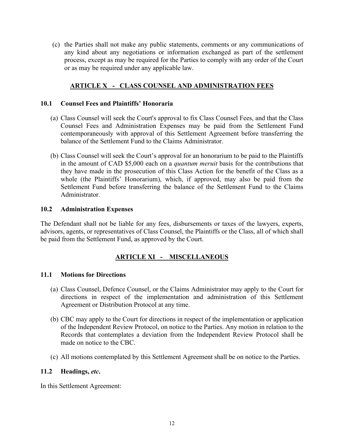(c) the Parties shall not make any public statements, comments or any communications of any kind about any negotiations or information exchanged as part of the settlement process, except as may be required for the Parties to comply with any order of the Court or as may be required under any applicable law.

## **ARTICLE X - CLASS COUNSEL AND ADMINISTRATION FEES**

#### **10.1 Counsel Fees and Plaintiffs' Honoraria**

- (a) Class Counsel will seek the Court's approval to fix Class Counsel Fees, and that the Class Counsel Fees and Administration Expenses may be paid from the Settlement Fund contemporaneously with approval of this Settlement Agreement before transferring the balance of the Settlement Fund to the Claims Administrator.
- (b) Class Counsel will seek the Court's approval for an honorarium to be paid to the Plaintiffs in the amount of CAD \$5,000 each on a *quantum meruit* basis for the contributions that they have made in the prosecution of this Class Action for the benefit of the Class as a whole (the Plaintiffs' Honorarium), which, if approved, may also be paid from the Settlement Fund before transferring the balance of the Settlement Fund to the Claims Administrator.

#### **10.2 Administration Expenses**

The Defendant shall not be liable for any fees, disbursements or taxes of the lawyers, experts, advisors, agents, or representatives of Class Counsel, the Plaintiffs or the Class, all of which shall be paid from the Settlement Fund, as approved by the Court.

## **ARTICLE XI - MISCELLANEOUS**

#### **11.1 Motions for Directions**

- (a) Class Counsel, Defence Counsel, or the Claims Administrator may apply to the Court for directions in respect of the implementation and administration of this Settlement Agreement or Distribution Protocol at any time.
- (b) CBC may apply to the Court for directions in respect of the implementation or application of the Independent Review Protocol, on notice to the Parties. Any motion in relation to the Records that contemplates a deviation from the Independent Review Protocol shall be made on notice to the CBC.
- (c) All motions contemplated by this Settlement Agreement shall be on notice to the Parties.

#### **11.2 Headings,** *etc***.**

In this Settlement Agreement: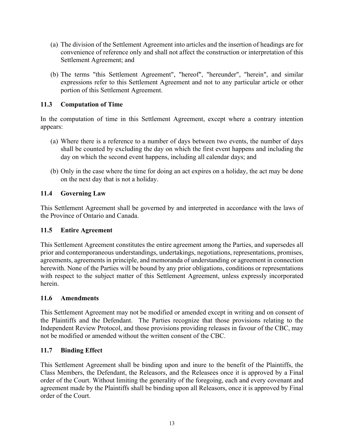- (a) The division of the Settlement Agreement into articles and the insertion of headings are for convenience of reference only and shall not affect the construction or interpretation of this Settlement Agreement; and
- (b) The terms "this Settlement Agreement", "hereof", "hereunder", "herein", and similar expressions refer to this Settlement Agreement and not to any particular article or other portion of this Settlement Agreement.

## **11.3 Computation of Time**

In the computation of time in this Settlement Agreement, except where a contrary intention appears:

- (a) Where there is a reference to a number of days between two events, the number of days shall be counted by excluding the day on which the first event happens and including the day on which the second event happens, including all calendar days; and
- (b) Only in the case where the time for doing an act expires on a holiday, the act may be done on the next day that is not a holiday.

## **11.4 Governing Law**

This Settlement Agreement shall be governed by and interpreted in accordance with the laws of the Province of Ontario and Canada.

## **11.5 Entire Agreement**

This Settlement Agreement constitutes the entire agreement among the Parties, and supersedes all prior and contemporaneous understandings, undertakings, negotiations, representations, promises, agreements, agreements in principle, and memoranda of understanding or agreement in connection herewith. None of the Parties will be bound by any prior obligations, conditions or representations with respect to the subject matter of this Settlement Agreement, unless expressly incorporated herein.

## **11.6 Amendments**

This Settlement Agreement may not be modified or amended except in writing and on consent of the Plaintiffs and the Defendant. The Parties recognize that those provisions relating to the Independent Review Protocol, and those provisions providing releases in favour of the CBC, may not be modified or amended without the written consent of the CBC.

## **11.7 Binding Effect**

This Settlement Agreement shall be binding upon and inure to the benefit of the Plaintiffs, the Class Members, the Defendant, the Releasors, and the Releasees once it is approved by a Final order of the Court. Without limiting the generality of the foregoing, each and every covenant and agreement made by the Plaintiffs shall be binding upon all Releasors, once it is approved by Final order of the Court.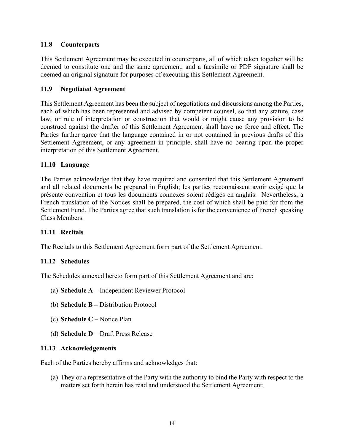## **11.8 Counterparts**

This Settlement Agreement may be executed in counterparts, all of which taken together will be deemed to constitute one and the same agreement, and a facsimile or PDF signature shall be deemed an original signature for purposes of executing this Settlement Agreement.

## **11.9 Negotiated Agreement**

This Settlement Agreement has been the subject of negotiations and discussions among the Parties, each of which has been represented and advised by competent counsel, so that any statute, case law, or rule of interpretation or construction that would or might cause any provision to be construed against the drafter of this Settlement Agreement shall have no force and effect. The Parties further agree that the language contained in or not contained in previous drafts of this Settlement Agreement, or any agreement in principle, shall have no bearing upon the proper interpretation of this Settlement Agreement.

## **11.10 Language**

The Parties acknowledge that they have required and consented that this Settlement Agreement and all related documents be prepared in English; les parties reconnaissent avoir exigé que la présente convention et tous les documents connexes soient rédigés en anglais. Nevertheless, a French translation of the Notices shall be prepared, the cost of which shall be paid for from the Settlement Fund. The Parties agree that such translation is for the convenience of French speaking Class Members.

## **11.11 Recitals**

The Recitals to this Settlement Agreement form part of the Settlement Agreement.

# **11.12 Schedules**

The Schedules annexed hereto form part of this Settlement Agreement and are:

- (a) **Schedule A** Independent Reviewer Protocol
- (b) **Schedule B** Distribution Protocol
- (c) **Schedule C** Notice Plan
- (d) **Schedule D**  Draft Press Release

## **11.13 Acknowledgements**

Each of the Parties hereby affirms and acknowledges that:

(a) They or a representative of the Party with the authority to bind the Party with respect to the matters set forth herein has read and understood the Settlement Agreement;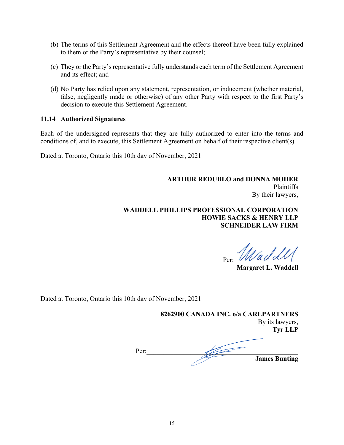- (b) The terms of this Settlement Agreement and the effects thereof have been fully explained to them or the Party's representative by their counsel;
- (c) They or the Party's representative fully understands each term of the Settlement Agreement and its effect; and
- (d) No Party has relied upon any statement, representation, or inducement (whether material, false, negligently made or otherwise) of any other Party with respect to the first Party's decision to execute this Settlement Agreement.

#### **11.14 Authorized Signatures**

Each of the undersigned represents that they are fully authorized to enter into the terms and conditions of, and to execute, this Settlement Agreement on behalf of their respective client(s).

Dated at Toronto, Ontario this 10th day of November, 2021

**ARTHUR REDUBLO and DONNA MOHER**  Plaintiffs By their lawyers,

**WADDELL PHILLIPS PROFESSIONAL CORPORATION HOWIE SACKS & HENRY LLP SCHNEIDER LAW FIRM** 

Per: Wadd W

**Margaret L. Waddell** 

Dated at Toronto, Ontario this 10th day of November, 2021

**8262900 CANADA INC. o/a CAREPARTNERS**  By its lawyers, **Tyr LLP** 

Per:**\_\_\_\_\_\_\_\_\_\_\_\_\_\_\_\_\_\_\_\_\_\_\_\_\_\_\_\_\_\_\_\_\_\_\_\_\_\_\_\_\_\_\_\_\_ James Bunting**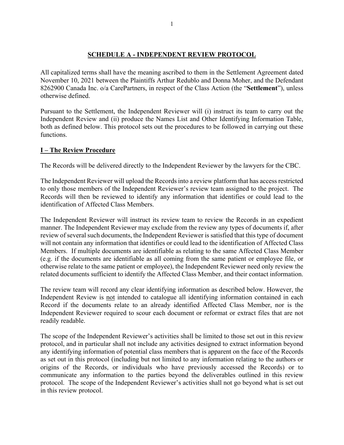#### **SCHEDULE A - INDEPENDENT REVIEW PROTOCOL**

All capitalized terms shall have the meaning ascribed to them in the Settlement Agreement dated November 10, 2021 between the Plaintiffs Arthur Redublo and Donna Moher, and the Defendant 8262900 Canada Inc. o/a CarePartners, in respect of the Class Action (the "**Settlement**"), unless otherwise defined.

Pursuant to the Settlement, the Independent Reviewer will (i) instruct its team to carry out the Independent Review and (ii) produce the Names List and Other Identifying Information Table, both as defined below. This protocol sets out the procedures to be followed in carrying out these functions.

#### **I – The Review Procedure**

The Records will be delivered directly to the Independent Reviewer by the lawyers for the CBC.

The Independent Reviewer will upload the Records into a review platform that has access restricted to only those members of the Independent Reviewer's review team assigned to the project. The Records will then be reviewed to identify any information that identifies or could lead to the identification of Affected Class Members.

The Independent Reviewer will instruct its review team to review the Records in an expedient manner. The Independent Reviewer may exclude from the review any types of documents if, after review of several such documents, the Independent Reviewer is satisfied that this type of document will not contain any information that identifies or could lead to the identification of Affected Class Members. If multiple documents are identifiable as relating to the same Affected Class Member (e.g. if the documents are identifiable as all coming from the same patient or employee file, or otherwise relate to the same patient or employee), the Independent Reviewer need only review the related documents sufficient to identify the Affected Class Member, and their contact information.

The review team will record any clear identifying information as described below. However, the Independent Review is not intended to catalogue all identifying information contained in each Record if the documents relate to an already identified Affected Class Member, nor is the Independent Reviewer required to scour each document or reformat or extract files that are not readily readable.

The scope of the Independent Reviewer's activities shall be limited to those set out in this review protocol, and in particular shall not include any activities designed to extract information beyond any identifying information of potential class members that is apparent on the face of the Records as set out in this protocol (including but not limited to any information relating to the authors or origins of the Records, or individuals who have previously accessed the Records) or to communicate any information to the parties beyond the deliverables outlined in this review protocol. The scope of the Independent Reviewer's activities shall not go beyond what is set out in this review protocol.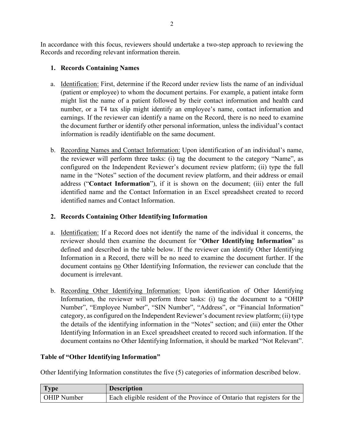In accordance with this focus, reviewers should undertake a two-step approach to reviewing the Records and recording relevant information therein.

## **1. Records Containing Names**

- a. Identification: First, determine if the Record under review lists the name of an individual (patient or employee) to whom the document pertains. For example, a patient intake form might list the name of a patient followed by their contact information and health card number, or a T4 tax slip might identify an employee's name, contact information and earnings. If the reviewer can identify a name on the Record, there is no need to examine the document further or identify other personal information, unless the individual's contact information is readily identifiable on the same document.
- b. Recording Names and Contact Information: Upon identification of an individual's name, the reviewer will perform three tasks: (i) tag the document to the category "Name", as configured on the Independent Reviewer's document review platform; (ii) type the full name in the "Notes" section of the document review platform, and their address or email address ("**Contact Information**"), if it is shown on the document; (iii) enter the full identified name and the Contact Information in an Excel spreadsheet created to record identified names and Contact Information.

# **2. Records Containing Other Identifying Information**

- a. Identification: If a Record does not identify the name of the individual it concerns, the reviewer should then examine the document for "**Other Identifying Information**" as defined and described in the table below. If the reviewer can identify Other Identifying Information in a Record, there will be no need to examine the document further. If the document contains no Other Identifying Information, the reviewer can conclude that the document is irrelevant.
- b. Recording Other Identifying Information: Upon identification of Other Identifying Information, the reviewer will perform three tasks: (i) tag the document to a "OHIP Number", "Employee Number", "SIN Number", "Address", or "Financial Information" category, as configured on the Independent Reviewer's document review platform; (ii) type the details of the identifying information in the "Notes" section; and (iii) enter the Other Identifying Information in an Excel spreadsheet created to record such information. If the document contains no Other Identifying Information, it should be marked "Not Relevant".

## **Table of "Other Identifying Information"**

Other Identifying Information constitutes the five (5) categories of information described below.

| <b>Type</b>        | <b>Description</b>                                                       |
|--------------------|--------------------------------------------------------------------------|
| <b>OHIP Number</b> | Each eligible resident of the Province of Ontario that registers for the |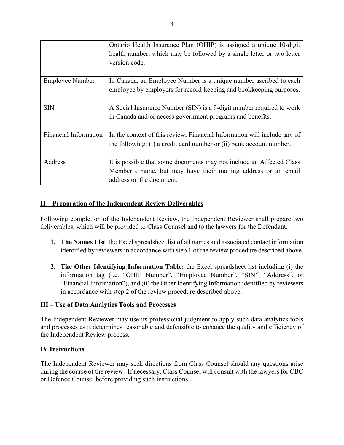|                              | Ontario Health Insurance Plan (OHIP) is assigned a unique 10-digit       |
|------------------------------|--------------------------------------------------------------------------|
|                              | health number, which may be followed by a single letter or two letter    |
|                              | version code.                                                            |
|                              |                                                                          |
| <b>Employee Number</b>       | In Canada, an Employee Number is a unique number ascribed to each        |
|                              | employee by employers for record-keeping and bookkeeping purposes.       |
|                              |                                                                          |
| <b>SIN</b>                   | A Social Insurance Number (SIN) is a 9-digit number required to work     |
|                              | in Canada and/or access government programs and benefits.                |
|                              |                                                                          |
| <b>Financial Information</b> | In the context of this review, Financial Information will include any of |
|                              | the following: (i) a credit card number or (ii) bank account number.     |
|                              |                                                                          |
| Address                      | It is possible that some documents may not include an Affected Class     |
|                              | Member's name, but may have their mailing address or an email            |
|                              | address on the document.                                                 |

## **II – Preparation of the Independent Review Deliverables**

Following completion of the Independent Review, the Independent Reviewer shall prepare two deliverables, which will be provided to Class Counsel and to the lawyers for the Defendant.

- **1. The Names List**: the Excel spreadsheet list of all names and associated contact information identified by reviewers in accordance with step 1 of the review procedure described above.
- **2. The Other Identifying Information Table:** the Excel spreadsheet list including (i) the information tag (i.e. "OHIP Number", "Employee Number", "SIN", "Address", or "Financial Information"), and (ii) the Other Identifying Information identified by reviewers in accordance with step 2 of the review procedure described above.

#### **III – Use of Data Analytics Tools and Processes**

The Independent Reviewer may use its professional judgment to apply such data analytics tools and processes as it determines reasonable and defensible to enhance the quality and efficiency of the Independent Review process.

#### **IV Instructions**

The Independent Reviewer may seek directions from Class Counsel should any questions arise during the course of the review. If necessary, Class Counsel will consult with the lawyers for CBC or Defence Counsel before providing such instructions.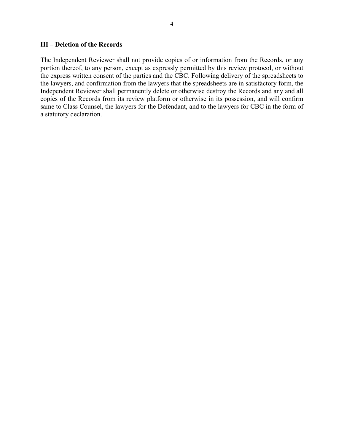4

#### **III – Deletion of the Records**

The Independent Reviewer shall not provide copies of or information from the Records, or any portion thereof, to any person, except as expressly permitted by this review protocol, or without the express written consent of the parties and the CBC. Following delivery of the spreadsheets to the lawyers, and confirmation from the lawyers that the spreadsheets are in satisfactory form, the Independent Reviewer shall permanently delete or otherwise destroy the Records and any and all copies of the Records from its review platform or otherwise in its possession, and will confirm same to Class Counsel, the lawyers for the Defendant, and to the lawyers for CBC in the form of a statutory declaration.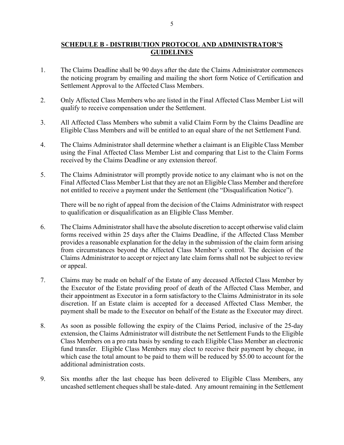#### **SCHEDULE B - DISTRIBUTION PROTOCOL AND ADMINISTRATOR'S GUIDELINES**

- 1. The Claims Deadline shall be 90 days after the date the Claims Administrator commences the noticing program by emailing and mailing the short form Notice of Certification and Settlement Approval to the Affected Class Members.
- 2. Only Affected Class Members who are listed in the Final Affected Class Member List will qualify to receive compensation under the Settlement.
- 3. All Affected Class Members who submit a valid Claim Form by the Claims Deadline are Eligible Class Members and will be entitled to an equal share of the net Settlement Fund.
- 4. The Claims Administrator shall determine whether a claimant is an Eligible Class Member using the Final Affected Class Member List and comparing that List to the Claim Forms received by the Claims Deadline or any extension thereof.
- 5. The Claims Administrator will promptly provide notice to any claimant who is not on the Final Affected Class Member List that they are not an Eligible Class Member and therefore not entitled to receive a payment under the Settlement (the "Disqualification Notice").

There will be no right of appeal from the decision of the Claims Administrator with respect to qualification or disqualification as an Eligible Class Member.

- 6. The Claims Administrator shall have the absolute discretion to accept otherwise valid claim forms received within 25 days after the Claims Deadline, if the Affected Class Member provides a reasonable explanation for the delay in the submission of the claim form arising from circumstances beyond the Affected Class Member's control. The decision of the Claims Administrator to accept or reject any late claim forms shall not be subject to review or appeal.
- 7. Claims may be made on behalf of the Estate of any deceased Affected Class Member by the Executor of the Estate providing proof of death of the Affected Class Member, and their appointment as Executor in a form satisfactory to the Claims Administrator in its sole discretion. If an Estate claim is accepted for a deceased Affected Class Member, the payment shall be made to the Executor on behalf of the Estate as the Executor may direct.
- 8. As soon as possible following the expiry of the Claims Period, inclusive of the 25-day extension, the Claims Administrator will distribute the net Settlement Funds to the Eligible Class Members on a pro rata basis by sending to each Eligible Class Member an electronic fund transfer. Eligible Class Members may elect to receive their payment by cheque, in which case the total amount to be paid to them will be reduced by \$5.00 to account for the additional administration costs.
- 9. Six months after the last cheque has been delivered to Eligible Class Members, any uncashed settlement cheques shall be stale-dated. Any amount remaining in the Settlement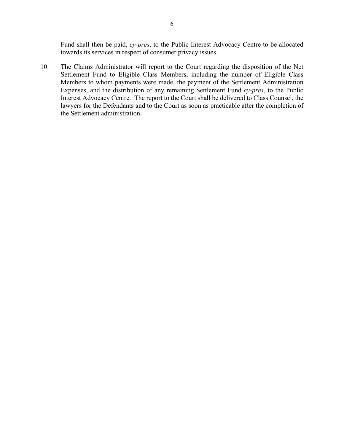Fund shall then be paid, *cy-près*, to the Public Interest Advocacy Centre to be allocated towards its services in respect of consumer privacy issues.

10. The Claims Administrator will report to the Court regarding the disposition of the Net Settlement Fund to Eligible Class Members, including the number of Eligible Class Members to whom payments were made, the payment of the Settlement Administration Expenses, and the distribution of any remaining Settlement Fund *cy-pres*, to the Public Interest Advocacy Centre. The report to the Court shall be delivered to Class Counsel, the lawyers for the Defendants and to the Court as soon as practicable after the completion of the Settlement administration.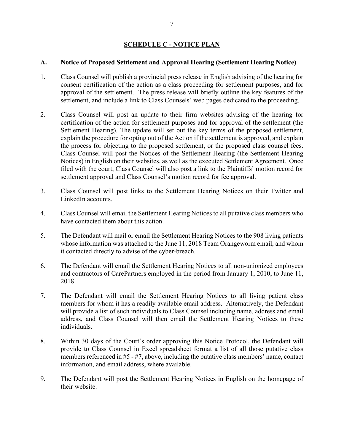## **SCHEDULE C - NOTICE PLAN**

#### **A. Notice of Proposed Settlement and Approval Hearing (Settlement Hearing Notice)**

- 1. Class Counsel will publish a provincial press release in English advising of the hearing for consent certification of the action as a class proceeding for settlement purposes, and for approval of the settlement. The press release will briefly outline the key features of the settlement, and include a link to Class Counsels' web pages dedicated to the proceeding.
- 2. Class Counsel will post an update to their firm websites advising of the hearing for certification of the action for settlement purposes and for approval of the settlement (the Settlement Hearing). The update will set out the key terms of the proposed settlement, explain the procedure for opting out of the Action if the settlement is approved, and explain the process for objecting to the proposed settlement, or the proposed class counsel fees. Class Counsel will post the Notices of the Settlement Hearing (the Settlement Hearing Notices) in English on their websites, as well as the executed Settlement Agreement. Once filed with the court, Class Counsel will also post a link to the Plaintiffs' motion record for settlement approval and Class Counsel's motion record for fee approval.
- 3. Class Counsel will post links to the Settlement Hearing Notices on their Twitter and LinkedIn accounts.
- 4. Class Counsel will email the Settlement Hearing Notices to all putative class members who have contacted them about this action.
- 5. The Defendant will mail or email the Settlement Hearing Notices to the 908 living patients whose information was attached to the June 11, 2018 Team Orangeworm email, and whom it contacted directly to advise of the cyber-breach.
- 6. The Defendant will email the Settlement Hearing Notices to all non-unionized employees and contractors of CarePartners employed in the period from January 1, 2010, to June 11, 2018.
- 7. The Defendant will email the Settlement Hearing Notices to all living patient class members for whom it has a readily available email address. Alternatively, the Defendant will provide a list of such individuals to Class Counsel including name, address and email address, and Class Counsel will then email the Settlement Hearing Notices to these individuals.
- 8. Within 30 days of the Court's order approving this Notice Protocol, the Defendant will provide to Class Counsel in Excel spreadsheet format a list of all those putative class members referenced in #5 - #7, above, including the putative class members' name, contact information, and email address, where available.
- 9. The Defendant will post the Settlement Hearing Notices in English on the homepage of their website.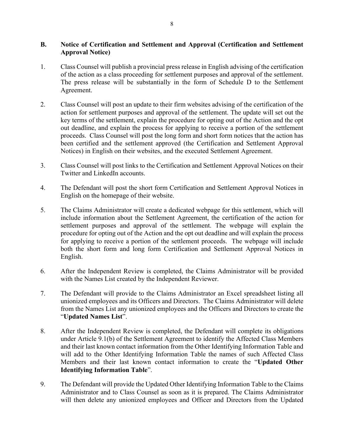#### **B. Notice of Certification and Settlement and Approval (Certification and Settlement Approval Notice)**

- 1. Class Counsel will publish a provincial press release in English advising of the certification of the action as a class proceeding for settlement purposes and approval of the settlement. The press release will be substantially in the form of Schedule D to the Settlement Agreement.
- 2. Class Counsel will post an update to their firm websites advising of the certification of the action for settlement purposes and approval of the settlement. The update will set out the key terms of the settlement, explain the procedure for opting out of the Action and the opt out deadline, and explain the process for applying to receive a portion of the settlement proceeds. Class Counsel will post the long form and short form notices that the action has been certified and the settlement approved (the Certification and Settlement Approval Notices) in English on their websites, and the executed Settlement Agreement.
- 3. Class Counsel will post links to the Certification and Settlement Approval Notices on their Twitter and LinkedIn accounts.
- 4. The Defendant will post the short form Certification and Settlement Approval Notices in English on the homepage of their website.
- 5. The Claims Administrator will create a dedicated webpage for this settlement, which will include information about the Settlement Agreement, the certification of the action for settlement purposes and approval of the settlement. The webpage will explain the procedure for opting out of the Action and the opt out deadline and will explain the process for applying to receive a portion of the settlement proceeds. The webpage will include both the short form and long form Certification and Settlement Approval Notices in English.
- 6. After the Independent Review is completed, the Claims Administrator will be provided with the Names List created by the Independent Reviewer.
- 7. The Defendant will provide to the Claims Administrator an Excel spreadsheet listing all unionized employees and its Officers and Directors. The Claims Administrator will delete from the Names List any unionized employees and the Officers and Directors to create the "**Updated Names List**".
- 8. After the Independent Review is completed, the Defendant will complete its obligations under Article 9.1(b) of the Settlement Agreement to identify the Affected Class Members and their last known contact information from the Other Identifying Information Table and will add to the Other Identifying Information Table the names of such Affected Class Members and their last known contact information to create the "**Updated Other Identifying Information Table**".
- 9. The Defendant will provide the Updated Other Identifying Information Table to the Claims Administrator and to Class Counsel as soon as it is prepared. The Claims Administrator will then delete any unionized employees and Officer and Directors from the Updated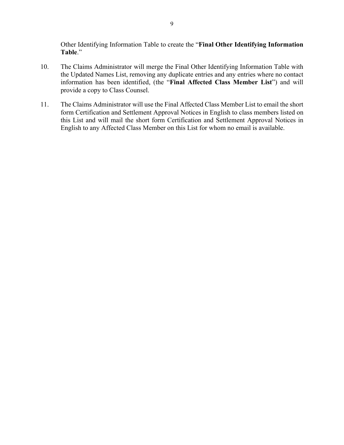Other Identifying Information Table to create the "**Final Other Identifying Information Table**."

- 10. The Claims Administrator will merge the Final Other Identifying Information Table with the Updated Names List, removing any duplicate entries and any entries where no contact information has been identified, (the "**Final Affected Class Member List**") and will provide a copy to Class Counsel.
- 11. The Claims Administrator will use the Final Affected Class Member List to email the short form Certification and Settlement Approval Notices in English to class members listed on this List and will mail the short form Certification and Settlement Approval Notices in English to any Affected Class Member on this List for whom no email is available.